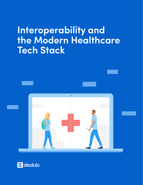# **Interoperability and the Modern Healthcare Tech Stack**



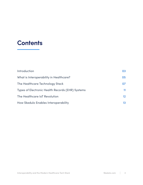## **Contents**

| Introduction                                     | 03 |
|--------------------------------------------------|----|
| What is Interoperability in Healthcare?          | 05 |
| The Healthcare Technology Stack                  | 07 |
| Types of Electronic Health Records (EHR) Systems | 11 |
| The Healthcare IoT Revolution                    | 12 |
| <b>How Skedulo Enables Interoperability</b>      | 13 |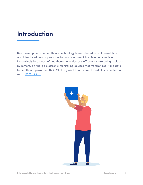## **Introduction**

New developments in healthcare technology have ushered in an IT revolution and introduced new approaches to practicing medicine. Telemedicine is an increasingly large part of healthcare, and doctor's office visits are being replaced by remote, on-the-go electronic monitoring devices that transmit real-time data to healthcare providers. By 2024, the global healthcare IT market is expected to reach [\\$382 billion.](https://www.variantmarketresearch.com/report-categories/medical-devices/healthcare-it-market)

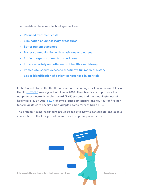The benefits of these new technologies include:

- Reduced treatment costs
- Elimination of unnecessary procedures
- Better patient outcomes
- Faster communication with physicians and nurses
- Earlier diagnosis of medical conditions
- Improved safety and efficiency of healthcare delivery
- Immediate, secure access to a patient's full medical history
- Easier identification of patient cohorts for clinical trials

In the United States, the Health Information Technology for Economic and Clinical Health [\(HITECH\)](https://searchhealthit.techtarget.com/definition/HITECH-Act) was signed into law in 2009. The objective is to promote the adoption of electronic health record (EHR) systems and the meaningful use of healthcare IT. By 2015, [86.9%](https://www.cdc.gov/nchs/fastats/electronic-medical-records.htm) of office-based physicians and four out of five nonfederal acute care hospitals had adopted some form of basic EHR.

The problem facing healthcare providers today is how to consolidate and access information in the EHR plus other sources to improve patient care.

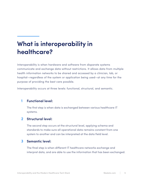## **What is interoperability in healthcare?**

Interoperability is when hardware and software from disparate systems communicate and exchange data without restrictions. It allows data from multiple health information networks to be shared and accessed by a clinician, lab, or hospital—regardless of the system or application being used—at any time for the purpose of providing the best care possible.

Interoperability occurs at three levels: functional, structural, and semantic.

#### **Functional level: 1**

The first step is when data is exchanged between various healthcare IT systems.

#### **2 Structural level:**

The second step occurs at the structural level, applying schema and standards to make sure all operational data remains constant from one system to another and can be interpreted at the data field level.

#### **3 Semantic level:**

The final step is when different IT healthcare networks exchange and interpret data, and are able to use the information that has been exchanged.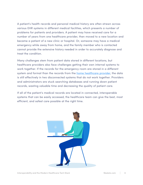A patient's health records and personal medical history are often strewn across various EHR systems in different medical facilities, which presents a number of problems for patients and providers. A patient may have received care for a number of years from one healthcare provider, then moved to a new location and became a patient of a new clinic or hospital. Or, someone may have a medical emergency while away from home, and the family member who is contacted cannot provide the extensive history needed in order to accurately diagnose and treat the condition.

Many challenges stem from patient data stored in different locations, but healthcare providers also face challenges getting their own internal systems to work together. If the records for the emergency room are stored in a different system and format than the records from the [home healthcare provider](https://www.skedulo.com/blog/fighting-productivity-pinch-5-secrets-leading-home-healthcare-organizations/), the data is still effectively in two disconnected systems that do not work together. Providers and administrators are stuck searching databases and running down patient records, wasting valuable time and decreasing the quality of patient care.

If all of the patient's medical records are located in connected, interoperable systems that can be easily accessed, the healthcare team can give the best, most efficient, and safest care possible at the right time.

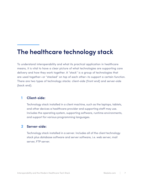## **The healthcare technology stack**

To understand interoperability and what its practical application in healthcare means, it is vital to have a clear picture of what technologies are supporting care delivery and how they work together. A "stack" is a group of technologies that are used together—or "stacked" on top of each other—to support a certain function. There are two types of technology stacks: client-side (front end) and server-side (back end).

#### **Client-side: 1**

Technology stack installed in a client machine, such as the laptops, tablets, and other devices a healthcare provider and supporting staff may use. Includes the operating system, supporting software, runtime environments, and support for various programming languages.

### **2 Server-side:**

Technology stack installed in a server. Includes all of the client technology stack plus database software and server software, i.e. web server, mail server, FTP server.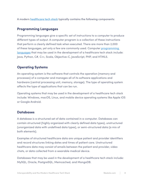A modern [healthcare tech stack](https://stackshare.io/stacks/health-care) typically contains the following components:

### **Programming Languages**

Programming languages give a specific set of instructions to a computer to produce different types of output. A computer program is a collection of these instructions that perform a clearly defined task when executed. There are more than 2,000 of these languages, yet only a few are commonly used. Computer programming [languages](http://www.codingdojo.com/blog/best-programming-languages-full-stack-web-developer/) that may be used in the development of a healthcare tech stack include: Java, Python, C#, C++, Scala, Objective-C, JavaScript, PHP, and HTML5.

### **Operating Systems**

An operating system is the software that controls the operation (memory and processes) of a computer and manages all of its software applications and hardware (central processing unit, memory, storage). The type of operating system affects the type of applications that can be run.

Operating systems that may be used in the development of a healthcare tech stack include: Windows, macOS, Linux, and mobile device operating systems like Apple iOS or Google Android.

### **Databases**

A database is a structured set of data contained in a computer. Databases can contain structured (highly organized with clearly defined data types), unstructured (unorganized data with undefined data types), or semi-structured data (a mix of both elements).

Examples of structured healthcare data are unique patient and provider identifiers and record structures linking dates and times of patient care. Unstructured healthcare data may consist of emails between the patient and provider, video chats, or data collected from a wearable medical device.

Databases that may be used in the development of a healthcare tech stack include: MySQL, Oracle, PostgreSQL, Memcached, and MongoDB.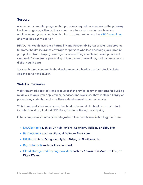### **Servers**

A server is a computer program that processes requests and serves as the gateway to other programs, either on the same computer or on another machine. Any application or system containing healthcare information must be **HIPAA compliant**, and that includes the server.

HIPAA, the Health Insurance Portability and Accountability Act of 1996, was created to protect health insurance coverage for persons who lose or change jobs, prohibit group plans from denying coverage for pre-existing conditions, develop national standards for electronic processing of healthcare transactions, and secure access to digital health data.

Servers that may be used in the development of a healthcare tech stack include: Apache server and NGINX.

### **Web Frameworks**

Web frameworks are tools and resources that provide common patterns for building reliable, scalable web applications, services, and websites. They contain a library of pre-existing code that makes software development faster and easier.

Web frameworks that may be used in the development of a healthcare tech stack include: Bootstrap, Android SDK, Rails, Symfony, Node.js, and Spring.

Other components that may be integrated into a healthcare technology stack are:

- DevOps tools such as GitHub, Jenkins, Selenium, Rollbar, or Bitbucket
- Business tools such as Slack, G Suite, or Desk.com
- Utilities such as Google Analytics, Stripe, or Elasticsearch
- Big Data tools such as Apache Spark
- Cloud storage and hosting providers such as Amazon S3, Amazon EC2, or DigitalOcean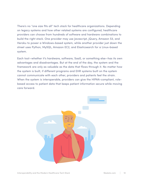There's no "one size fits all" tech stack for healthcare organizations. Depending on legacy systems and how other related systems are configured, healthcare providers can choose from hundreds of software and hardware combinations to build the right stack. One provider may use Javascript, jQuery, Amazon S3, and Heroku to power a Windows-based system, while another provider just down the street uses Python, MySQL, Amazon EC2, and Elasticsearch for a Linux-based system.

Each tool—whether it's hardware, software, SaaS, or something else—has its own advantages and disadvantages. But at the end of the day, the system and the framework are only as valuable as the data that flows through it. No matter how the system is built, if different programs and EHR systems built on the system cannot communicate with each other, providers and patients feel the strain. When the system is interoperable, providers can give the HIPAA-compliant, rolebased access to patient data that keeps patient information secure while moving care forward.

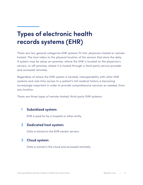## **Types of electronic health records systems (EHR)**

There are two general categories EHR systems fit into: physician-hosted or remotehosted. The host refers to the physical location of the servers that store the data. A system may be setup on-premise, where the EHR is located on the physician's servers, or off-premise, where it is hosted through a third-party service provider and accessed remotely.

Regardless of where the EHR system is located, interoperability with other EHR systems and real-time access to a patient's full medical history is becoming increasingly important in order to provide comprehensive services as needed, from any location.

There are three types of remote-hosted, third-party EHR systems:

### **1 Subsidized system:**

EHR is paid for by a hospital or other entity.

#### **Dedicated host system: 2**

Data is stored on the EHR vendor servers.

#### **Cloud system: 3**

Data is stored in the cloud and accessed remotely.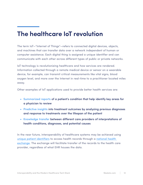## **The healthcare IoT revolution**

The term IoT—"Internet of Things"—refers to connected digital devices, objects, and machines that can transfer data over a network independent of human or computer assistance. Each digital thing is assigned a unique identifier and can communicate with each other across different types of public or private networks.

IoT technology is revolutionizing healthcare and how services are rendered. Information collected through a remote medical device or sensor on a wearable device, for example, can transmit critical measurements like vital signs, blood oxygen level, and more over the Internet in real-time to a practitioner located miles away.

Other examples of IoT applications used to provide better health services are:

- Summarized reports of a patient's condition that help identify key areas for a physician to review
- Predictive insights into treatment outcomes by analyzing previous diagnoses and response to treatments over the lifespan of the patient
- Knowledge transfer between different care providers of interpretations of health conditions, diagnoses, and potential causes

In the near future, interoperability of healthcare systems may be achieved using [unique patient identifiers](https://catalyst.nejm.org/time-unique-patient-identifiers-us/) to access health records through a [national health](https://www.ssmhealth.com/newsroom/2017/11/mu-health-care,-ssm-health-connect-medical-records)  [exchange](https://www.ssmhealth.com/newsroom/2017/11/mu-health-care,-ssm-health-connect-medical-records). The exchange will facilitate transfer of the records to the health care provider, regardless of what EHR houses the data.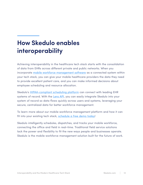## **How Skedulo enables interoperability**

Achieving interoperability in the healthcare tech stack starts with the consolidation of data from EHRs across different private and public networks. When you incorporate [mobile workforce management software](https://www.skedulo.com/mobile-workforce-management-best-practices/) as a connected system within your tech stack, you can give your mobile healthcare providers the data they need to provide excellent patient care, and you can make informed decisions about employee scheduling and resource allocation.

Skedulo's **[HIPAA-compliant scheduling platform](https://www.skedulo.com/industries/healthcare-scheduling/)** can connect with leading EHR systems of record. With the [Lens API](https://www.skedulo.com/integrations/lens-api/), you can easily integrate Skedulo into your system of record so data flows quickly across users and systems, leveraging your secure, centralized data for better workforce management.

To learn more about our mobile workforce management platform and how it can fit into your existing tech stack, [schedule a free demo today!](https://www.skedulo.com/request-a-demo/)

Skedulo intelligently schedules, dispatches, and tracks your mobile workforce, connecting the office and field in real-time. Traditional field service solutions lack the power and flexibility to fit the new ways people and businesses operate. Skedulo is the mobile workforce management solution built for the future of work.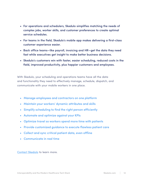- For operations and schedulers, Skedulo simplifies matching the needs of complex jobs, worker skills, and customer preferences to create optimal service schedules.
- For teams in the field, Skedulo's mobile app makes delivering a first-class customer experience easier.
- Back office teams—like payroll, invoicing and HR—get the data they need fast while executives get insight to make better business decisions.
- Skedulo's customers win with faster, easier scheduling, reduced costs in the field, improved productivity, plus happier customers and employees.

With Skedulo, your scheduling and operations teams have all the data and functionality they need to effectively manage, schedule, dispatch, and communicate with your mobile workers in one place.

- Manage employees and contractors on one platform
- Maintain your workers' dynamic attributes and skills
- Simplify scheduling to find the right person efficiently
- Automate and optimize against your KPIs
- Optimize travel so workers spend more time with patients
- Provide customized guidance to execute flawless patient care
- Collect and sync critical patient data, even offline
- Communicate in real time

[Contact Skedulo](https://www.skedulo.com/contact-us/) to learn more.